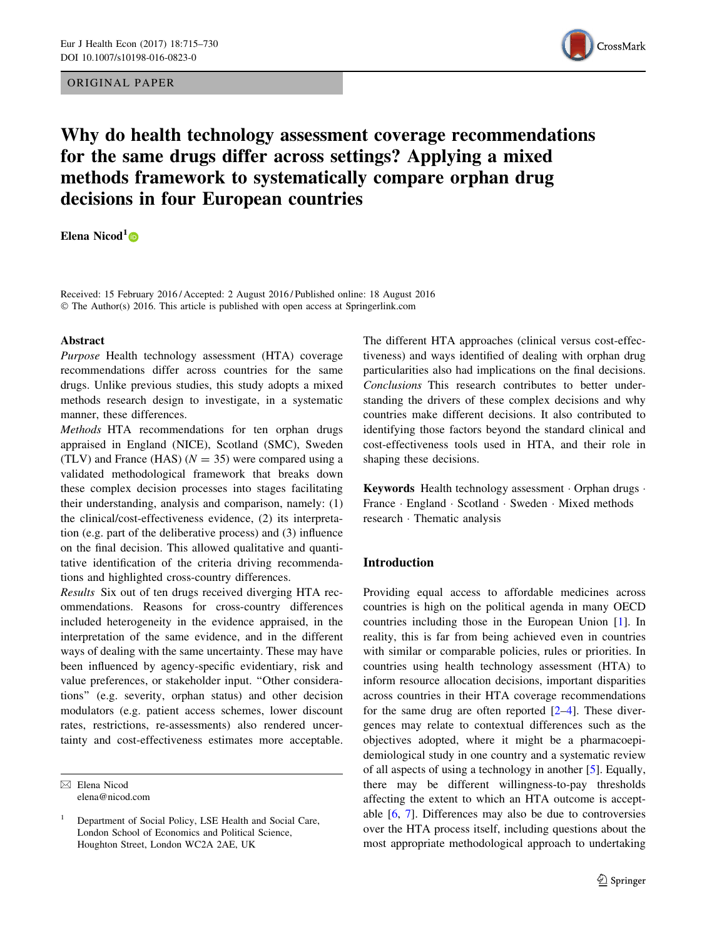ORIGINAL PAPER



# Why do health technology assessment coverage recommendations for the same drugs differ across settings? Applying a mixed methods framework to systematically compare orphan drug decisions in four European countries

Elena Nicod<sup>1</sup> $\bullet$ 

Received: 15 February 2016 / Accepted: 2 August 2016 / Published online: 18 August 2016 © The Author(s) 2016. This article is published with open access at Springerlink.com

#### Abstract

Purpose Health technology assessment (HTA) coverage recommendations differ across countries for the same drugs. Unlike previous studies, this study adopts a mixed methods research design to investigate, in a systematic manner, these differences.

Methods HTA recommendations for ten orphan drugs appraised in England (NICE), Scotland (SMC), Sweden (TLV) and France (HAS) ( $N = 35$ ) were compared using a validated methodological framework that breaks down these complex decision processes into stages facilitating their understanding, analysis and comparison, namely: (1) the clinical/cost-effectiveness evidence, (2) its interpretation (e.g. part of the deliberative process) and (3) influence on the final decision. This allowed qualitative and quantitative identification of the criteria driving recommendations and highlighted cross-country differences.

Results Six out of ten drugs received diverging HTA recommendations. Reasons for cross-country differences included heterogeneity in the evidence appraised, in the interpretation of the same evidence, and in the different ways of dealing with the same uncertainty. These may have been influenced by agency-specific evidentiary, risk and value preferences, or stakeholder input. ''Other considerations'' (e.g. severity, orphan status) and other decision modulators (e.g. patient access schemes, lower discount rates, restrictions, re-assessments) also rendered uncertainty and cost-effectiveness estimates more acceptable.

 $\boxtimes$  Elena Nicod elena@nicod.com The different HTA approaches (clinical versus cost-effectiveness) and ways identified of dealing with orphan drug particularities also had implications on the final decisions. Conclusions This research contributes to better understanding the drivers of these complex decisions and why countries make different decisions. It also contributed to identifying those factors beyond the standard clinical and cost-effectiveness tools used in HTA, and their role in shaping these decisions.

Keywords Health technology assessment · Orphan drugs · France · England · Scotland · Sweden · Mixed methods research - Thematic analysis

# Introduction

Providing equal access to affordable medicines across countries is high on the political agenda in many OECD countries including those in the European Union [[1\]](#page-13-0). In reality, this is far from being achieved even in countries with similar or comparable policies, rules or priorities. In countries using health technology assessment (HTA) to inform resource allocation decisions, important disparities across countries in their HTA coverage recommendations for the same drug are often reported [\[2](#page-13-0)[–4](#page-14-0)]. These divergences may relate to contextual differences such as the objectives adopted, where it might be a pharmacoepidemiological study in one country and a systematic review of all aspects of using a technology in another [\[5](#page-14-0)]. Equally, there may be different willingness-to-pay thresholds affecting the extent to which an HTA outcome is acceptable [\[6](#page-14-0), [7](#page-14-0)]. Differences may also be due to controversies over the HTA process itself, including questions about the most appropriate methodological approach to undertaking

<sup>1</sup> Department of Social Policy, LSE Health and Social Care, London School of Economics and Political Science, Houghton Street, London WC2A 2AE, UK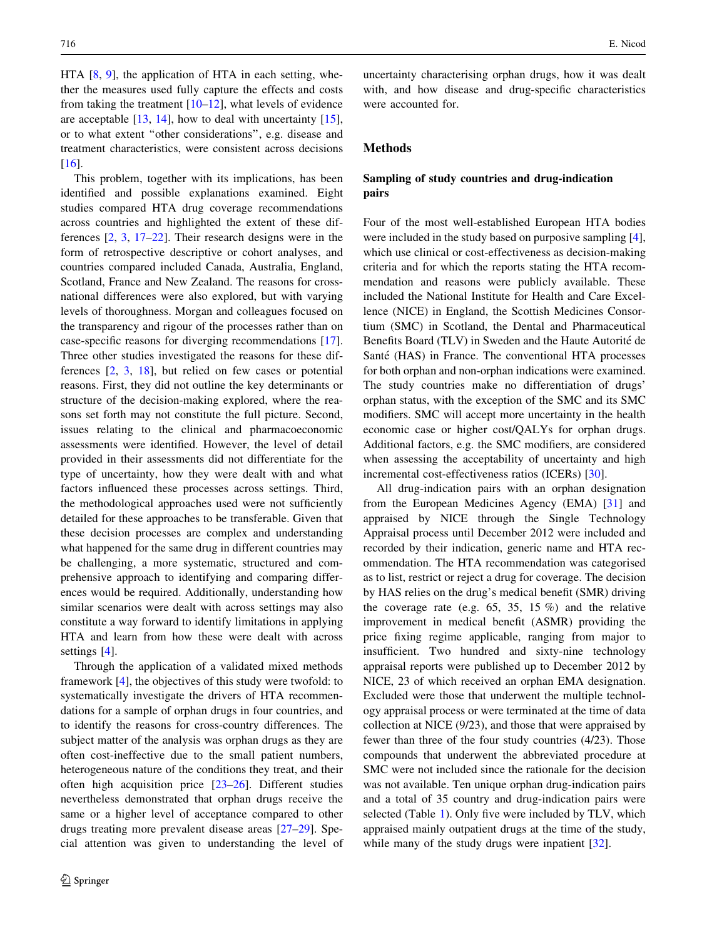HTA [\[8](#page-14-0), [9](#page-14-0)], the application of HTA in each setting, whether the measures used fully capture the effects and costs from taking the treatment  $[10-12]$ , what levels of evidence are acceptable  $[13, 14]$  $[13, 14]$  $[13, 14]$ , how to deal with uncertainty  $[15]$  $[15]$ , or to what extent ''other considerations'', e.g. disease and treatment characteristics, were consistent across decisions [\[16](#page-14-0)].

This problem, together with its implications, has been identified and possible explanations examined. Eight studies compared HTA drug coverage recommendations across countries and highlighted the extent of these differences [\[2](#page-13-0), [3](#page-14-0), [17–22](#page-14-0)]. Their research designs were in the form of retrospective descriptive or cohort analyses, and countries compared included Canada, Australia, England, Scotland, France and New Zealand. The reasons for crossnational differences were also explored, but with varying levels of thoroughness. Morgan and colleagues focused on the transparency and rigour of the processes rather than on case-specific reasons for diverging recommendations [\[17](#page-14-0)]. Three other studies investigated the reasons for these differences [\[2](#page-13-0), [3](#page-14-0), [18](#page-14-0)], but relied on few cases or potential reasons. First, they did not outline the key determinants or structure of the decision-making explored, where the reasons set forth may not constitute the full picture. Second, issues relating to the clinical and pharmacoeconomic assessments were identified. However, the level of detail provided in their assessments did not differentiate for the type of uncertainty, how they were dealt with and what factors influenced these processes across settings. Third, the methodological approaches used were not sufficiently detailed for these approaches to be transferable. Given that these decision processes are complex and understanding what happened for the same drug in different countries may be challenging, a more systematic, structured and comprehensive approach to identifying and comparing differences would be required. Additionally, understanding how similar scenarios were dealt with across settings may also constitute a way forward to identify limitations in applying HTA and learn from how these were dealt with across settings [\[4](#page-14-0)].

Through the application of a validated mixed methods framework [[4\]](#page-14-0), the objectives of this study were twofold: to systematically investigate the drivers of HTA recommendations for a sample of orphan drugs in four countries, and to identify the reasons for cross-country differences. The subject matter of the analysis was orphan drugs as they are often cost-ineffective due to the small patient numbers, heterogeneous nature of the conditions they treat, and their often high acquisition price  $[23-26]$ . Different studies nevertheless demonstrated that orphan drugs receive the same or a higher level of acceptance compared to other drugs treating more prevalent disease areas [\[27–29](#page-14-0)]. Special attention was given to understanding the level of uncertainty characterising orphan drugs, how it was dealt with, and how disease and drug-specific characteristics were accounted for.

# Methods

# Sampling of study countries and drug-indication pairs

Four of the most well-established European HTA bodies were included in the study based on purposive sampling [\[4](#page-14-0)], which use clinical or cost-effectiveness as decision-making criteria and for which the reports stating the HTA recommendation and reasons were publicly available. These included the National Institute for Health and Care Excellence (NICE) in England, the Scottish Medicines Consortium (SMC) in Scotland, the Dental and Pharmaceutical Benefits Board (TLV) in Sweden and the Haute Autorité de Santé (HAS) in France. The conventional HTA processes for both orphan and non-orphan indications were examined. The study countries make no differentiation of drugs' orphan status, with the exception of the SMC and its SMC modifiers. SMC will accept more uncertainty in the health economic case or higher cost/QALYs for orphan drugs. Additional factors, e.g. the SMC modifiers, are considered when assessing the acceptability of uncertainty and high incremental cost-effectiveness ratios (ICERs) [\[30](#page-14-0)].

All drug-indication pairs with an orphan designation from the European Medicines Agency (EMA) [\[31](#page-14-0)] and appraised by NICE through the Single Technology Appraisal process until December 2012 were included and recorded by their indication, generic name and HTA recommendation. The HTA recommendation was categorised as to list, restrict or reject a drug for coverage. The decision by HAS relies on the drug's medical benefit (SMR) driving the coverage rate (e.g. 65, 35, 15 %) and the relative improvement in medical benefit (ASMR) providing the price fixing regime applicable, ranging from major to insufficient. Two hundred and sixty-nine technology appraisal reports were published up to December 2012 by NICE, 23 of which received an orphan EMA designation. Excluded were those that underwent the multiple technology appraisal process or were terminated at the time of data collection at NICE (9/23), and those that were appraised by fewer than three of the four study countries (4/23). Those compounds that underwent the abbreviated procedure at SMC were not included since the rationale for the decision was not available. Ten unique orphan drug-indication pairs and a total of 35 country and drug-indication pairs were selected (Table [1](#page-2-0)). Only five were included by TLV, which appraised mainly outpatient drugs at the time of the study, while many of the study drugs were inpatient [\[32](#page-14-0)].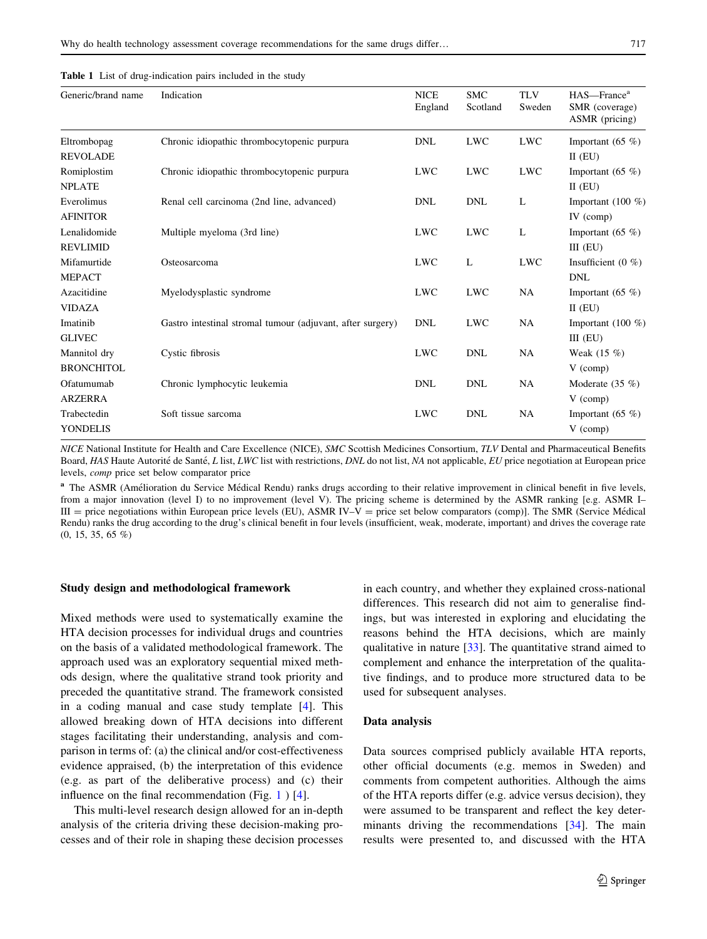<span id="page-2-0"></span>

|  |  | Table 1 List of drug-indication pairs included in the study |  |  |  |  |  |
|--|--|-------------------------------------------------------------|--|--|--|--|--|
|--|--|-------------------------------------------------------------|--|--|--|--|--|

| Generic/brand name | Indication                                                 | <b>NICE</b><br>England | <b>SMC</b><br>Scotland | <b>TLV</b><br>Sweden | HAS-France <sup>a</sup><br>SMR (coverage)<br>ASMR (pricing) |
|--------------------|------------------------------------------------------------|------------------------|------------------------|----------------------|-------------------------------------------------------------|
| Eltrombopag        | Chronic idiopathic thrombocytopenic purpura                | <b>DNL</b>             | <b>LWC</b>             | <b>LWC</b>           | Important $(65 \%)$                                         |
| <b>REVOLADE</b>    |                                                            |                        |                        |                      | $II$ (EU)                                                   |
| Romiplostim        | Chronic idiopathic thrombocytopenic purpura                | <b>LWC</b>             | <b>LWC</b>             | <b>LWC</b>           | Important $(65 \%)$                                         |
| <b>NPLATE</b>      |                                                            |                        |                        |                      | $II$ (EU)                                                   |
| Everolimus         | Renal cell carcinoma (2nd line, advanced)                  | <b>DNL</b>             | <b>DNL</b>             | L                    | Important $(100\%$                                          |
| <b>AFINITOR</b>    |                                                            |                        |                        |                      | IV (comp)                                                   |
| Lenalidomide       | Multiple myeloma (3rd line)                                | <b>LWC</b>             | <b>LWC</b>             | L                    | Important $(65 \%)$                                         |
| <b>REVLIMID</b>    |                                                            |                        |                        |                      | $III$ (EU)                                                  |
| Mifamurtide        | Osteosarcoma                                               | <b>LWC</b>             | L                      | <b>LWC</b>           | Insufficient $(0, \%)$                                      |
| <b>MEPACT</b>      |                                                            |                        |                        |                      | <b>DNL</b>                                                  |
| Azacitidine        | Myelodysplastic syndrome                                   | <b>LWC</b>             | <b>LWC</b>             | NA                   | Important $(65 \%)$                                         |
| <b>VIDAZA</b>      |                                                            |                        |                        |                      | $II$ (EU)                                                   |
| Imatinib           | Gastro intestinal stromal tumour (adjuvant, after surgery) | <b>DNL</b>             | <b>LWC</b>             | NA                   | Important $(100\%$                                          |
| <b>GLIVEC</b>      |                                                            |                        |                        |                      | $III$ (EU)                                                  |
| Mannitol dry       | Cystic fibrosis                                            | <b>LWC</b>             | <b>DNL</b>             | NA                   | Weak $(15 \%)$                                              |
| <b>BRONCHITOL</b>  |                                                            |                        |                        |                      | $V$ (comp)                                                  |
| Ofatumumab         | Chronic lymphocytic leukemia                               | <b>DNL</b>             | <b>DNL</b>             | NA                   | Moderate $(35 \%)$                                          |
| <b>ARZERRA</b>     |                                                            |                        |                        |                      | $V$ (comp)                                                  |
| Trabectedin        | Soft tissue sarcoma                                        | <b>LWC</b>             | <b>DNL</b>             | NA                   | Important $(65 \%)$                                         |
| YONDELIS           |                                                            |                        |                        |                      | $V$ (comp)                                                  |

NICE National Institute for Health and Care Excellence (NICE), SMC Scottish Medicines Consortium, TLV Dental and Pharmaceutical Benefits Board, HAS Haute Autorité de Santé, L list, LWC list with restrictions, DNL do not list, NA not applicable, EU price negotiation at European price levels, comp price set below comparator price

<sup>a</sup> The ASMR (Amélioration du Service Médical Rendu) ranks drugs according to their relative improvement in clinical benefit in five levels, from a major innovation (level I) to no improvement (level V). The pricing scheme is determined by the ASMR ranking [e.g. ASMR I– III = price negotiations within European price levels (EU), ASMR IV-V = price set below comparators (comp)]. The SMR (Service Médical Rendu) ranks the drug according to the drug's clinical benefit in four levels (insufficient, weak, moderate, important) and drives the coverage rate (0, 15, 35, 65 %)

#### Study design and methodological framework

Mixed methods were used to systematically examine the HTA decision processes for individual drugs and countries on the basis of a validated methodological framework. The approach used was an exploratory sequential mixed methods design, where the qualitative strand took priority and preceded the quantitative strand. The framework consisted in a coding manual and case study template [\[4](#page-14-0)]. This allowed breaking down of HTA decisions into different stages facilitating their understanding, analysis and comparison in terms of: (a) the clinical and/or cost-effectiveness evidence appraised, (b) the interpretation of this evidence (e.g. as part of the deliberative process) and (c) their influence on the final recommendation (Fig. [1](#page-3-0) ) [\[4](#page-14-0)].

This multi-level research design allowed for an in-depth analysis of the criteria driving these decision-making processes and of their role in shaping these decision processes in each country, and whether they explained cross-national differences. This research did not aim to generalise findings, but was interested in exploring and elucidating the reasons behind the HTA decisions, which are mainly qualitative in nature [[33\]](#page-14-0). The quantitative strand aimed to complement and enhance the interpretation of the qualitative findings, and to produce more structured data to be used for subsequent analyses.

#### Data analysis

Data sources comprised publicly available HTA reports, other official documents (e.g. memos in Sweden) and comments from competent authorities. Although the aims of the HTA reports differ (e.g. advice versus decision), they were assumed to be transparent and reflect the key deter-minants driving the recommendations [[34\]](#page-14-0). The main results were presented to, and discussed with the HTA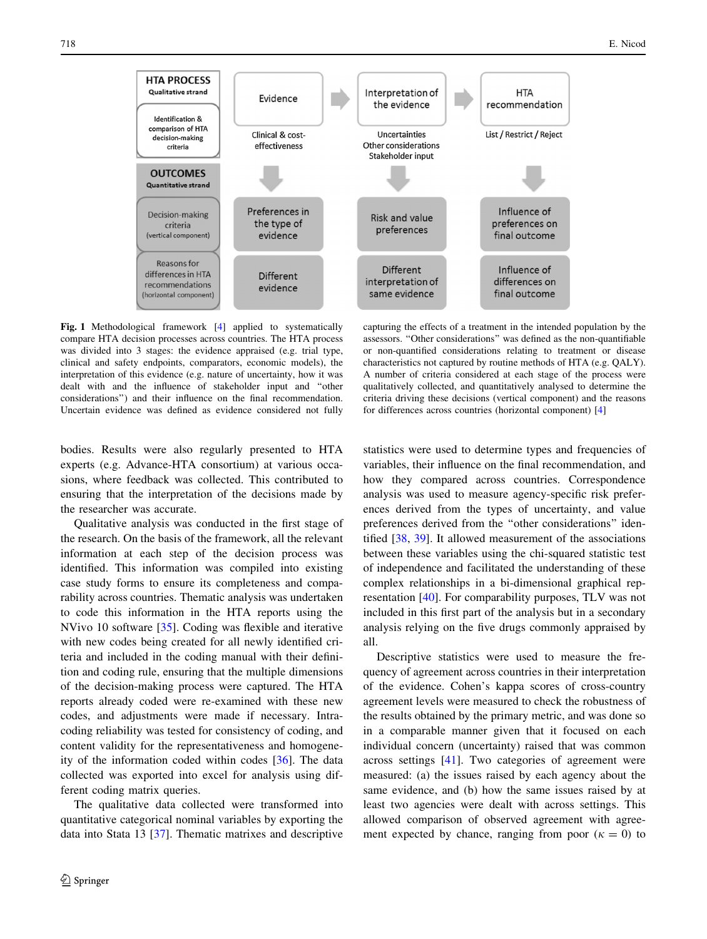<span id="page-3-0"></span>

Fig. 1 Methodological framework [\[4](#page-14-0)] applied to systematically compare HTA decision processes across countries. The HTA process was divided into 3 stages: the evidence appraised (e.g. trial type, clinical and safety endpoints, comparators, economic models), the interpretation of this evidence (e.g. nature of uncertainty, how it was dealt with and the influence of stakeholder input and ''other considerations'') and their influence on the final recommendation. Uncertain evidence was defined as evidence considered not fully

capturing the effects of a treatment in the intended population by the assessors. ''Other considerations'' was defined as the non-quantifiable or non-quantified considerations relating to treatment or disease characteristics not captured by routine methods of HTA (e.g. QALY). A number of criteria considered at each stage of the process were qualitatively collected, and quantitatively analysed to determine the criteria driving these decisions (vertical component) and the reasons for differences across countries (horizontal component) [[4](#page-14-0)]

bodies. Results were also regularly presented to HTA experts (e.g. Advance-HTA consortium) at various occasions, where feedback was collected. This contributed to ensuring that the interpretation of the decisions made by the researcher was accurate.

Qualitative analysis was conducted in the first stage of the research. On the basis of the framework, all the relevant information at each step of the decision process was identified. This information was compiled into existing case study forms to ensure its completeness and comparability across countries. Thematic analysis was undertaken to code this information in the HTA reports using the NVivo 10 software [\[35](#page-14-0)]. Coding was flexible and iterative with new codes being created for all newly identified criteria and included in the coding manual with their definition and coding rule, ensuring that the multiple dimensions of the decision-making process were captured. The HTA reports already coded were re-examined with these new codes, and adjustments were made if necessary. Intracoding reliability was tested for consistency of coding, and content validity for the representativeness and homogeneity of the information coded within codes [[36\]](#page-14-0). The data collected was exported into excel for analysis using different coding matrix queries.

The qualitative data collected were transformed into quantitative categorical nominal variables by exporting the data into Stata 13 [[37\]](#page-14-0). Thematic matrixes and descriptive statistics were used to determine types and frequencies of variables, their influence on the final recommendation, and how they compared across countries. Correspondence analysis was used to measure agency-specific risk preferences derived from the types of uncertainty, and value preferences derived from the ''other considerations'' identified [\[38](#page-14-0), [39\]](#page-14-0). It allowed measurement of the associations between these variables using the chi-squared statistic test of independence and facilitated the understanding of these complex relationships in a bi-dimensional graphical representation [\[40](#page-14-0)]. For comparability purposes, TLV was not included in this first part of the analysis but in a secondary analysis relying on the five drugs commonly appraised by all.

Descriptive statistics were used to measure the frequency of agreement across countries in their interpretation of the evidence. Cohen's kappa scores of cross-country agreement levels were measured to check the robustness of the results obtained by the primary metric, and was done so in a comparable manner given that it focused on each individual concern (uncertainty) raised that was common across settings [[41\]](#page-14-0). Two categories of agreement were measured: (a) the issues raised by each agency about the same evidence, and (b) how the same issues raised by at least two agencies were dealt with across settings. This allowed comparison of observed agreement with agreement expected by chance, ranging from poor  $(k = 0)$  to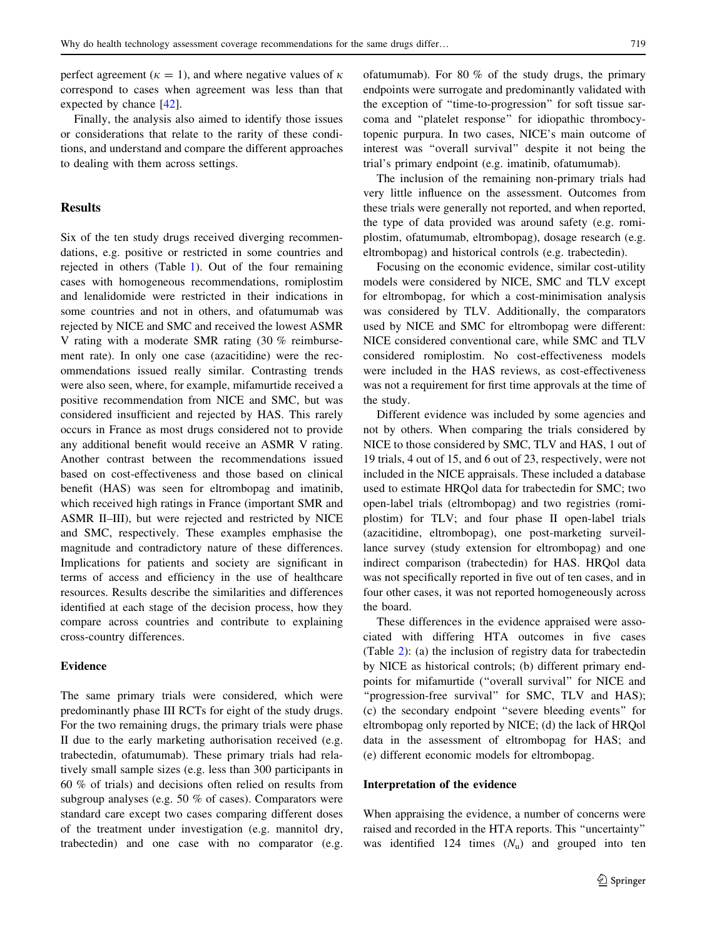perfect agreement ( $\kappa = 1$ ), and where negative values of  $\kappa$ correspond to cases when agreement was less than that expected by chance [[42\]](#page-14-0).

Finally, the analysis also aimed to identify those issues or considerations that relate to the rarity of these conditions, and understand and compare the different approaches to dealing with them across settings.

# **Results**

Six of the ten study drugs received diverging recommendations, e.g. positive or restricted in some countries and rejected in others (Table [1\)](#page-2-0). Out of the four remaining cases with homogeneous recommendations, romiplostim and lenalidomide were restricted in their indications in some countries and not in others, and ofatumumab was rejected by NICE and SMC and received the lowest ASMR V rating with a moderate SMR rating (30 % reimbursement rate). In only one case (azacitidine) were the recommendations issued really similar. Contrasting trends were also seen, where, for example, mifamurtide received a positive recommendation from NICE and SMC, but was considered insufficient and rejected by HAS. This rarely occurs in France as most drugs considered not to provide any additional benefit would receive an ASMR V rating. Another contrast between the recommendations issued based on cost-effectiveness and those based on clinical benefit (HAS) was seen for eltrombopag and imatinib, which received high ratings in France (important SMR and ASMR II–III), but were rejected and restricted by NICE and SMC, respectively. These examples emphasise the magnitude and contradictory nature of these differences. Implications for patients and society are significant in terms of access and efficiency in the use of healthcare resources. Results describe the similarities and differences identified at each stage of the decision process, how they compare across countries and contribute to explaining cross-country differences.

## Evidence

The same primary trials were considered, which were predominantly phase III RCTs for eight of the study drugs. For the two remaining drugs, the primary trials were phase II due to the early marketing authorisation received (e.g. trabectedin, ofatumumab). These primary trials had relatively small sample sizes (e.g. less than 300 participants in 60 % of trials) and decisions often relied on results from subgroup analyses (e.g. 50 % of cases). Comparators were standard care except two cases comparing different doses of the treatment under investigation (e.g. mannitol dry, trabectedin) and one case with no comparator (e.g. ofatumumab). For 80 % of the study drugs, the primary endpoints were surrogate and predominantly validated with the exception of ''time-to-progression'' for soft tissue sarcoma and ''platelet response'' for idiopathic thrombocytopenic purpura. In two cases, NICE's main outcome of interest was ''overall survival'' despite it not being the trial's primary endpoint (e.g. imatinib, ofatumumab).

The inclusion of the remaining non-primary trials had very little influence on the assessment. Outcomes from these trials were generally not reported, and when reported, the type of data provided was around safety (e.g. romiplostim, ofatumumab, eltrombopag), dosage research (e.g. eltrombopag) and historical controls (e.g. trabectedin).

Focusing on the economic evidence, similar cost-utility models were considered by NICE, SMC and TLV except for eltrombopag, for which a cost-minimisation analysis was considered by TLV. Additionally, the comparators used by NICE and SMC for eltrombopag were different: NICE considered conventional care, while SMC and TLV considered romiplostim. No cost-effectiveness models were included in the HAS reviews, as cost-effectiveness was not a requirement for first time approvals at the time of the study.

Different evidence was included by some agencies and not by others. When comparing the trials considered by NICE to those considered by SMC, TLV and HAS, 1 out of 19 trials, 4 out of 15, and 6 out of 23, respectively, were not included in the NICE appraisals. These included a database used to estimate HRQol data for trabectedin for SMC; two open-label trials (eltrombopag) and two registries (romiplostim) for TLV; and four phase II open-label trials (azacitidine, eltrombopag), one post-marketing surveillance survey (study extension for eltrombopag) and one indirect comparison (trabectedin) for HAS. HRQol data was not specifically reported in five out of ten cases, and in four other cases, it was not reported homogeneously across the board.

These differences in the evidence appraised were associated with differing HTA outcomes in five cases (Table [2\)](#page-5-0): (a) the inclusion of registry data for trabectedin by NICE as historical controls; (b) different primary endpoints for mifamurtide (''overall survival'' for NICE and "progression-free survival" for SMC, TLV and HAS); (c) the secondary endpoint ''severe bleeding events'' for eltrombopag only reported by NICE; (d) the lack of HRQol data in the assessment of eltrombopag for HAS; and (e) different economic models for eltrombopag.

#### Interpretation of the evidence

When appraising the evidence, a number of concerns were raised and recorded in the HTA reports. This ''uncertainty'' was identified 124 times  $(N_u)$  and grouped into ten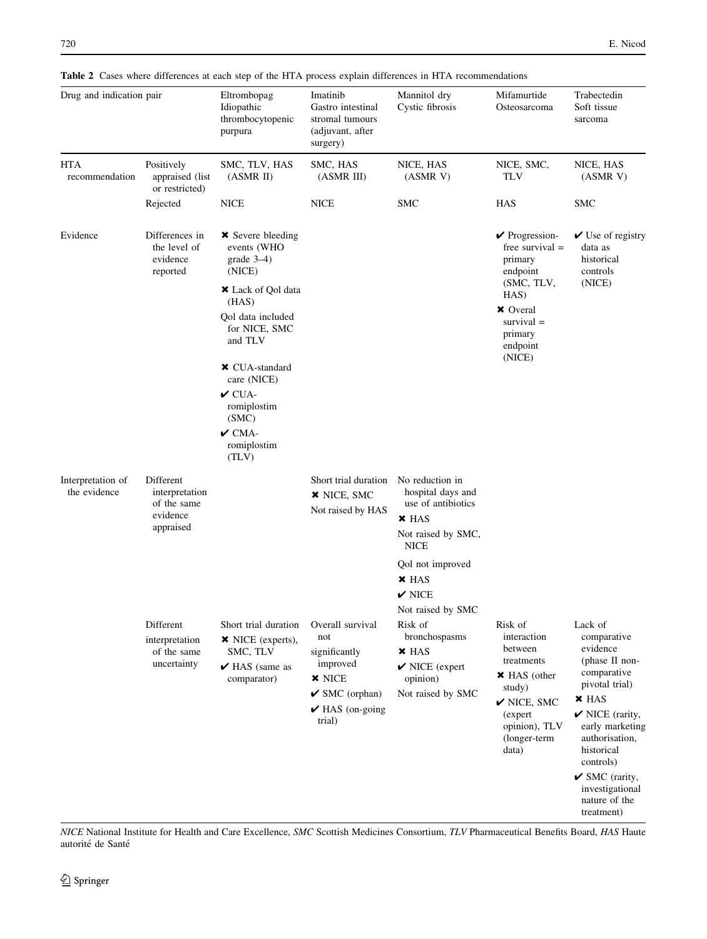| Drug and indication pair          |                                                        | Eltrombopag<br>Idiopathic<br>thrombocytopenic<br>purpura           | Imatinib<br>Gastro intestinal<br>stromal tumours<br>(adjuvant, after<br>surgery) | Mannitol dry<br>Cystic fibrosis                                                     | Mifamurtide<br>Osteosarcoma                                               | Trabectedin<br>Soft tissue<br>sarcoma                                                      |  |
|-----------------------------------|--------------------------------------------------------|--------------------------------------------------------------------|----------------------------------------------------------------------------------|-------------------------------------------------------------------------------------|---------------------------------------------------------------------------|--------------------------------------------------------------------------------------------|--|
| <b>HTA</b><br>recommendation      | Positively<br>appraised (list<br>or restricted)        | SMC, TLV, HAS<br>(ASMR II)                                         | SMC, HAS<br>(ASMR III)                                                           | NICE, HAS<br>(ASMRV)                                                                | NICE, SMC,<br><b>TLV</b>                                                  | NICE, HAS<br>(ASMRV)                                                                       |  |
|                                   | Rejected                                               | <b>NICE</b>                                                        | <b>NICE</b>                                                                      | <b>SMC</b>                                                                          | HAS                                                                       | <b>SMC</b>                                                                                 |  |
| Evidence                          | Differences in<br>the level of<br>evidence<br>reported | <b>×</b> Severe bleeding<br>events (WHO<br>grade $3-4$ )<br>(NICE) |                                                                                  |                                                                                     | $\vee$ Progression-<br>free survival $=$<br>primary<br>endpoint           | $\vee$ Use of registry<br>data as<br>historical<br>controls                                |  |
|                                   |                                                        | <b>*</b> Lack of Qol data<br>(HAS)                                 |                                                                                  |                                                                                     | (SMC, TLV,<br>HAS)                                                        | (NICE)                                                                                     |  |
|                                   |                                                        | Qol data included<br>for NICE, SMC<br>and TLV                      |                                                                                  |                                                                                     | <b>×</b> Overal<br>$survival =$<br>primary<br>endpoint                    |                                                                                            |  |
|                                   |                                                        | <b>* CUA-standard</b><br>care (NICE)                               |                                                                                  |                                                                                     | (NICE)                                                                    |                                                                                            |  |
|                                   |                                                        | $\checkmark$ CUA-<br>romiplostim<br>(SMC)                          |                                                                                  |                                                                                     |                                                                           |                                                                                            |  |
|                                   |                                                        | $\boldsymbol{\nu}$ CMA-<br>romiplostim<br>(TLV)                    |                                                                                  |                                                                                     |                                                                           |                                                                                            |  |
| Interpretation of<br>the evidence | Different<br>interpretation<br>of the same             |                                                                    | Short trial duration<br>× NICE, SMC<br>Not raised by HAS                         | No reduction in<br>hospital days and<br>use of antibiotics                          |                                                                           |                                                                                            |  |
|                                   | evidence<br>appraised                                  |                                                                    |                                                                                  | $\times$ HAS<br>Not raised by SMC,<br><b>NICE</b>                                   |                                                                           |                                                                                            |  |
|                                   |                                                        |                                                                    |                                                                                  | Qol not improved                                                                    |                                                                           |                                                                                            |  |
|                                   |                                                        |                                                                    |                                                                                  | $\times$ HAS<br>$\boldsymbol{\nu}$ nice                                             |                                                                           |                                                                                            |  |
|                                   | Different<br>interpretation                            | Short trial duration<br>× NICE (experts),                          | Overall survival<br>not                                                          | Not raised by SMC<br>Risk of<br>bronchospasms                                       | Risk of<br>interaction                                                    | Lack of<br>comparative                                                                     |  |
|                                   | of the same<br>uncertainty                             | SMC, TLV<br>$\blacktriangleright$ HAS (same as<br>comparator)      | significantly<br>improved<br>$\times$ NICE<br>$\checkmark$ SMC (orphan)          | $\times$ HAS<br>$\blacktriangleright$ NICE (expert<br>opinion)<br>Not raised by SMC | between<br>treatments<br>× HAS (other<br>study)<br>$\checkmark$ NICE, SMC | evidence<br>(phase II non-<br>comparative<br>pivotal trial)<br>$\times$ HAS                |  |
|                                   |                                                        |                                                                    | $\blacktriangleright$ HAS (on-going<br>trial)                                    |                                                                                     | (expert)<br>opinion), TLV<br>(longer-term<br>data)                        | $\checkmark$ NICE (rarity,<br>early marketing<br>authorisation,<br>historical<br>controls) |  |
|                                   |                                                        |                                                                    |                                                                                  |                                                                                     |                                                                           | $\checkmark$ SMC (rarity,<br>investigational<br>nature of the<br>treatment)                |  |

<span id="page-5-0"></span>Table 2 Cases where differences at each step of the HTA process explain differences in HTA recommendations

NICE National Institute for Health and Care Excellence, SMC Scottish Medicines Consortium, TLV Pharmaceutical Benefits Board, HAS Haute autorité de Santé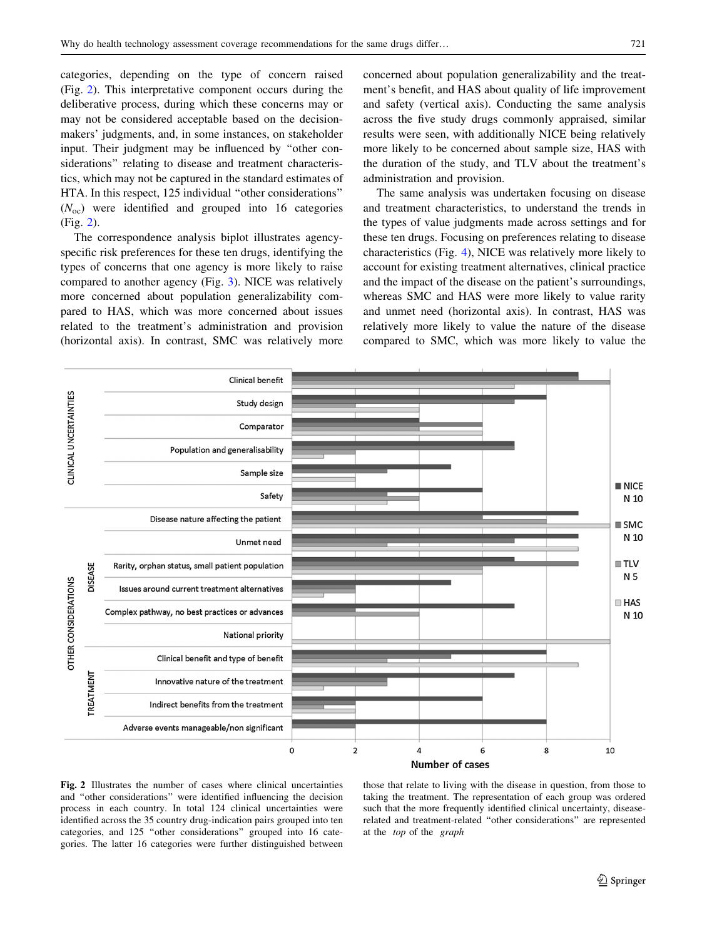<span id="page-6-0"></span>categories, depending on the type of concern raised (Fig. 2). This interpretative component occurs during the deliberative process, during which these concerns may or may not be considered acceptable based on the decisionmakers' judgments, and, in some instances, on stakeholder input. Their judgment may be influenced by ''other considerations'' relating to disease and treatment characteristics, which may not be captured in the standard estimates of HTA. In this respect, 125 individual ''other considerations''  $(N<sub>oc</sub>)$  were identified and grouped into 16 categories (Fig. 2).

The correspondence analysis biplot illustrates agencyspecific risk preferences for these ten drugs, identifying the types of concerns that one agency is more likely to raise compared to another agency (Fig. [3\)](#page-7-0). NICE was relatively more concerned about population generalizability compared to HAS, which was more concerned about issues related to the treatment's administration and provision (horizontal axis). In contrast, SMC was relatively more concerned about population generalizability and the treatment's benefit, and HAS about quality of life improvement and safety (vertical axis). Conducting the same analysis across the five study drugs commonly appraised, similar results were seen, with additionally NICE being relatively more likely to be concerned about sample size, HAS with the duration of the study, and TLV about the treatment's administration and provision.

The same analysis was undertaken focusing on disease and treatment characteristics, to understand the trends in the types of value judgments made across settings and for these ten drugs. Focusing on preferences relating to disease characteristics (Fig. [4\)](#page-8-0), NICE was relatively more likely to account for existing treatment alternatives, clinical practice and the impact of the disease on the patient's surroundings, whereas SMC and HAS were more likely to value rarity and unmet need (horizontal axis). In contrast, HAS was relatively more likely to value the nature of the disease compared to SMC, which was more likely to value the



Fig. 2 Illustrates the number of cases where clinical uncertainties and ''other considerations'' were identified influencing the decision process in each country. In total 124 clinical uncertainties were identified across the 35 country drug-indication pairs grouped into ten categories, and 125 ''other considerations'' grouped into 16 categories. The latter 16 categories were further distinguished between those that relate to living with the disease in question, from those to taking the treatment. The representation of each group was ordered such that the more frequently identified clinical uncertainty, diseaserelated and treatment-related ''other considerations'' are represented at the top of the graph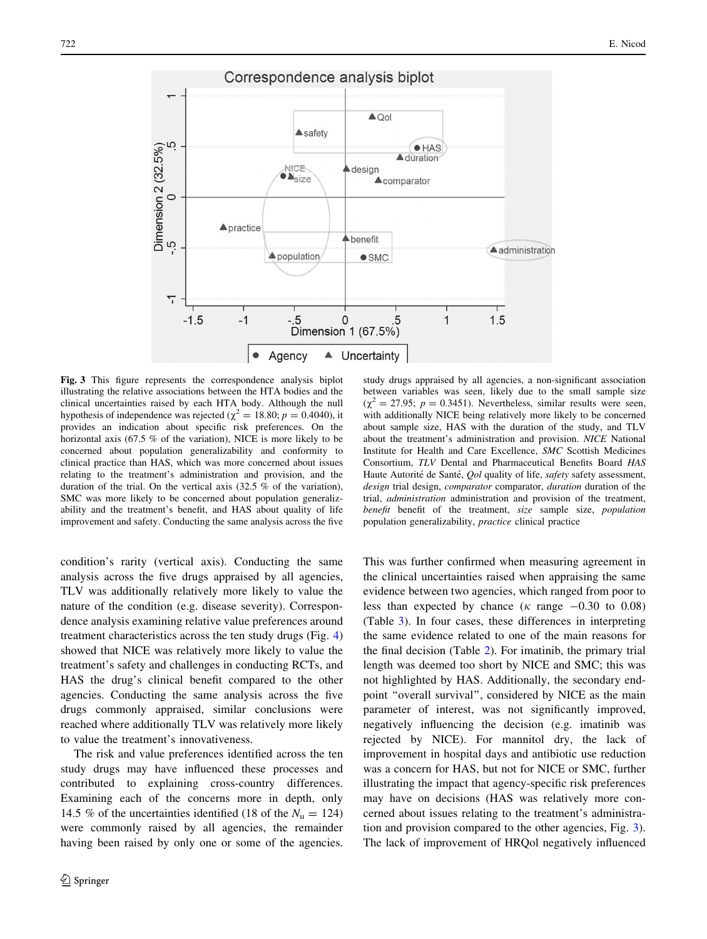<span id="page-7-0"></span>

Fig. 3 This figure represents the correspondence analysis biplot illustrating the relative associations between the HTA bodies and the clinical uncertainties raised by each HTA body. Although the null hypothesis of independence was rejected ( $\chi^2 = 18.80$ ;  $p = 0.4040$ ), it provides an indication about specific risk preferences. On the horizontal axis (67.5 % of the variation), NICE is more likely to be concerned about population generalizability and conformity to clinical practice than HAS, which was more concerned about issues relating to the treatment's administration and provision, and the duration of the trial. On the vertical axis (32.5 % of the variation), SMC was more likely to be concerned about population generalizability and the treatment's benefit, and HAS about quality of life improvement and safety. Conducting the same analysis across the five

condition's rarity (vertical axis). Conducting the same analysis across the five drugs appraised by all agencies, TLV was additionally relatively more likely to value the nature of the condition (e.g. disease severity). Correspondence analysis examining relative value preferences around treatment characteristics across the ten study drugs (Fig. [4\)](#page-8-0) showed that NICE was relatively more likely to value the treatment's safety and challenges in conducting RCTs, and HAS the drug's clinical benefit compared to the other agencies. Conducting the same analysis across the five drugs commonly appraised, similar conclusions were reached where additionally TLV was relatively more likely to value the treatment's innovativeness.

The risk and value preferences identified across the ten study drugs may have influenced these processes and contributed to explaining cross-country differences. Examining each of the concerns more in depth, only 14.5 % of the uncertainties identified (18 of the  $N_u = 124$ ) were commonly raised by all agencies, the remainder having been raised by only one or some of the agencies.

study drugs appraised by all agencies, a non-significant association between variables was seen, likely due to the small sample size  $(\gamma^2 = 27.95; p = 0.3451)$ . Nevertheless, similar results were seen, with additionally NICE being relatively more likely to be concerned about sample size, HAS with the duration of the study, and TLV about the treatment's administration and provision. NICE National Institute for Health and Care Excellence, SMC Scottish Medicines Consortium, TLV Dental and Pharmaceutical Benefits Board HAS Haute Autorité de Santé, Qol quality of life, safety safety assessment, design trial design, comparator comparator, duration duration of the trial, administration administration and provision of the treatment, benefit benefit of the treatment, size sample size, population population generalizability, practice clinical practice

This was further confirmed when measuring agreement in the clinical uncertainties raised when appraising the same evidence between two agencies, which ranged from poor to less than expected by chance ( $\kappa$  range  $-0.30$  to 0.08) (Table [3\)](#page-9-0). In four cases, these differences in interpreting the same evidence related to one of the main reasons for the final decision (Table [2](#page-5-0)). For imatinib, the primary trial length was deemed too short by NICE and SMC; this was not highlighted by HAS. Additionally, the secondary endpoint ''overall survival'', considered by NICE as the main parameter of interest, was not significantly improved, negatively influencing the decision (e.g. imatinib was rejected by NICE). For mannitol dry, the lack of improvement in hospital days and antibiotic use reduction was a concern for HAS, but not for NICE or SMC, further illustrating the impact that agency-specific risk preferences may have on decisions (HAS was relatively more concerned about issues relating to the treatment's administration and provision compared to the other agencies, Fig. 3). The lack of improvement of HRQol negatively influenced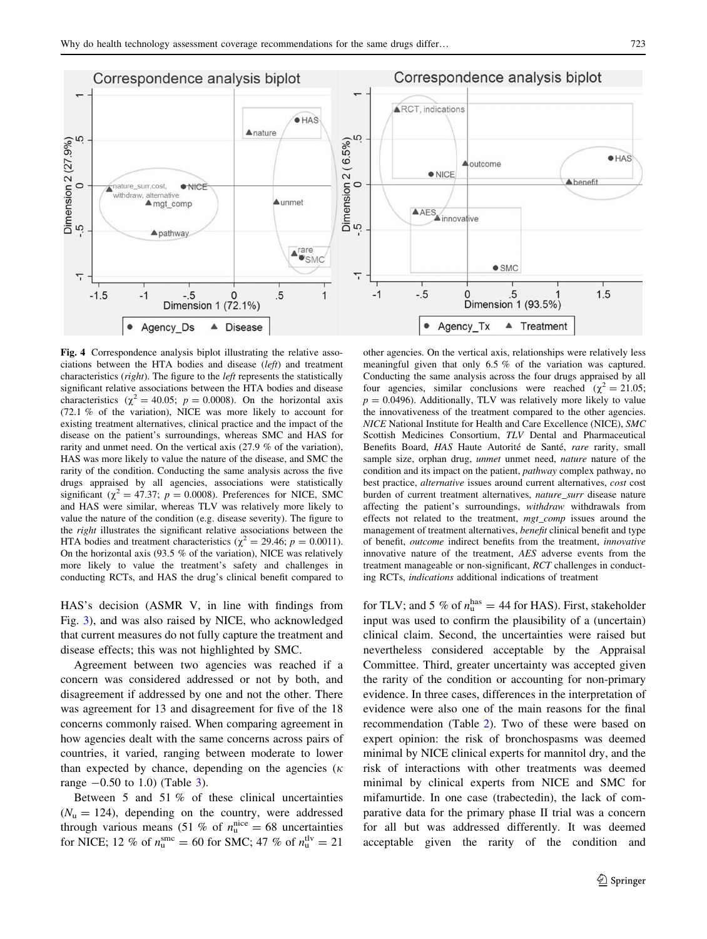<span id="page-8-0"></span>

Fig. 4 Correspondence analysis biplot illustrating the relative associations between the HTA bodies and disease (left) and treatment characteristics (right). The figure to the left represents the statistically significant relative associations between the HTA bodies and disease characteristics ( $\chi^2 = 40.05$ ;  $p = 0.0008$ ). On the horizontal axis (72.1 % of the variation), NICE was more likely to account for existing treatment alternatives, clinical practice and the impact of the disease on the patient's surroundings, whereas SMC and HAS for rarity and unmet need. On the vertical axis (27.9 % of the variation), HAS was more likely to value the nature of the disease, and SMC the rarity of the condition. Conducting the same analysis across the five drugs appraised by all agencies, associations were statistically significant ( $\chi^2 = 47.37$ ;  $p = 0.0008$ ). Preferences for NICE, SMC and HAS were similar, whereas TLV was relatively more likely to value the nature of the condition (e.g. disease severity). The figure to the right illustrates the significant relative associations between the HTA bodies and treatment characteristics ( $\chi^2 = 29.46$ ;  $p = 0.0011$ ). On the horizontal axis (93.5 % of the variation), NICE was relatively more likely to value the treatment's safety and challenges in conducting RCTs, and HAS the drug's clinical benefit compared to

HAS's decision (ASMR V, in line with findings from Fig. [3](#page-7-0)), and was also raised by NICE, who acknowledged that current measures do not fully capture the treatment and disease effects; this was not highlighted by SMC.

Agreement between two agencies was reached if a concern was considered addressed or not by both, and disagreement if addressed by one and not the other. There was agreement for 13 and disagreement for five of the 18 concerns commonly raised. When comparing agreement in how agencies dealt with the same concerns across pairs of countries, it varied, ranging between moderate to lower than expected by chance, depending on the agencies ( $\kappa$ range  $-0.50$  to 1.0) (Table [3\)](#page-9-0).

Between 5 and 51 % of these clinical uncertainties  $(N<sub>u</sub> = 124)$ , depending on the country, were addressed through various means (51 % of  $n_u^{\text{nice}} = 68$  uncertainties for NICE; 12 % of  $n_{\rm u}^{\rm sinc} = 60$  for SMC; 47 % of  $n_{\rm u}^{\rm uv} = 21$ 

other agencies. On the vertical axis, relationships were relatively less meaningful given that only 6.5 % of the variation was captured. Conducting the same analysis across the four drugs appraised by all four agencies, similar conclusions were reached ( $\chi^2 = 21.05$ ;  $p = 0.0496$ ). Additionally, TLV was relatively more likely to value the innovativeness of the treatment compared to the other agencies. NICE National Institute for Health and Care Excellence (NICE), SMC Scottish Medicines Consortium, TLV Dental and Pharmaceutical Benefits Board, HAS Haute Autorité de Santé, rare rarity, small sample size, orphan drug, unmet unmet need, nature nature of the condition and its impact on the patient, pathway complex pathway, no best practice, alternative issues around current alternatives, cost cost burden of current treatment alternatives, *nature* surr disease nature affecting the patient's surroundings, withdraw withdrawals from effects not related to the treatment, mgt\_comp issues around the management of treatment alternatives, benefit clinical benefit and type of benefit, outcome indirect benefits from the treatment, innovative innovative nature of the treatment, AES adverse events from the treatment manageable or non-significant, RCT challenges in conducting RCTs, indications additional indications of treatment

for TLV; and 5 % of  $n_u^{\text{has}} = 44$  for HAS). First, stakeholder input was used to confirm the plausibility of a (uncertain) clinical claim. Second, the uncertainties were raised but nevertheless considered acceptable by the Appraisal Committee. Third, greater uncertainty was accepted given the rarity of the condition or accounting for non-primary evidence. In three cases, differences in the interpretation of evidence were also one of the main reasons for the final recommendation (Table [2](#page-5-0)). Two of these were based on expert opinion: the risk of bronchospasms was deemed minimal by NICE clinical experts for mannitol dry, and the risk of interactions with other treatments was deemed minimal by clinical experts from NICE and SMC for mifamurtide. In one case (trabectedin), the lack of comparative data for the primary phase II trial was a concern for all but was addressed differently. It was deemed acceptable given the rarity of the condition and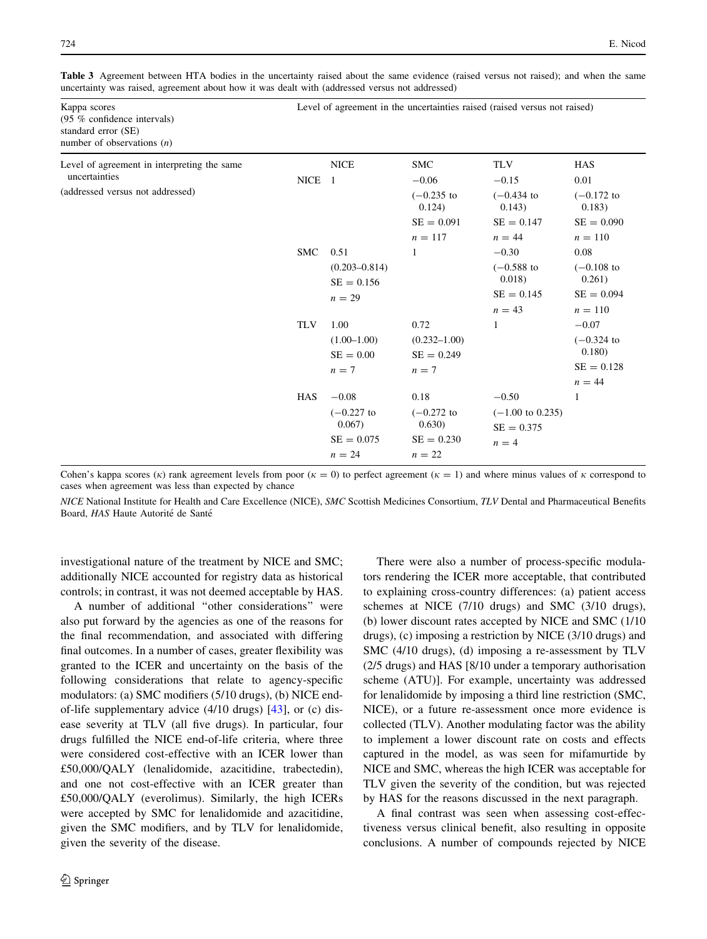<span id="page-9-0"></span>Table 3 Agreement between HTA bodies in the uncertainty raised about the same evidence (raised versus not raised); and when the same uncertainty was raised, agreement about how it was dealt with (addressed versus not addressed)

| Kappa scores<br>(95 % confidence intervals)<br>standard error (SE)<br>number of observations $(n)$ | Level of agreement in the uncertainties raised (raised versus not raised) |                         |                         |                             |                         |  |  |
|----------------------------------------------------------------------------------------------------|---------------------------------------------------------------------------|-------------------------|-------------------------|-----------------------------|-------------------------|--|--|
| Level of agreement in interpreting the same                                                        |                                                                           | <b>NICE</b>             | <b>SMC</b>              | <b>TLV</b>                  | <b>HAS</b>              |  |  |
| uncertainties                                                                                      | NICE 1                                                                    |                         | $-0.06$                 | $-0.15$                     | 0.01                    |  |  |
| (addressed versus not addressed)                                                                   |                                                                           |                         | $(-0.235)$ to<br>0.124) | $(-0.434)$ to<br>0.143)     | $(-0.172)$ to<br>0.183) |  |  |
|                                                                                                    |                                                                           |                         | $SE = 0.091$            | $SE = 0.147$                | $SE = 0.090$            |  |  |
|                                                                                                    |                                                                           |                         | $n = 117$               | $n = 44$                    | $n = 110$               |  |  |
|                                                                                                    | <b>SMC</b>                                                                | 0.51                    | 1                       | $-0.30$                     | 0.08                    |  |  |
|                                                                                                    |                                                                           | $(0.203 - 0.814)$       |                         | $(-0.588)$ to               | $(-0.108)$ to           |  |  |
|                                                                                                    |                                                                           | $SE = 0.156$            |                         | 0.018)                      | 0.261)                  |  |  |
|                                                                                                    |                                                                           | $n = 29$                |                         | $SE = 0.145$                | $SE = 0.094$            |  |  |
|                                                                                                    |                                                                           |                         |                         | $n = 43$                    | $n = 110$               |  |  |
|                                                                                                    | <b>TLV</b>                                                                | 1.00                    | 0.72                    | 1                           | $-0.07$                 |  |  |
|                                                                                                    |                                                                           | $(1.00-1.00)$           | $(0.232 - 1.00)$        |                             | $(-0.324)$ to           |  |  |
|                                                                                                    |                                                                           | $SE = 0.00$             | $SE = 0.249$            |                             | 0.180                   |  |  |
|                                                                                                    |                                                                           | $n=7$                   | $n=7$                   |                             | $SE = 0.128$            |  |  |
|                                                                                                    |                                                                           |                         |                         |                             | $n = 44$                |  |  |
|                                                                                                    | <b>HAS</b>                                                                | $-0.08$                 | 0.18                    | $-0.50$                     | $\mathbf{1}$            |  |  |
|                                                                                                    |                                                                           | $(-0.227)$ to<br>0.067) | $(-0.272)$ to<br>0.630) | $(-1.00 \text{ to } 0.235)$ |                         |  |  |
|                                                                                                    |                                                                           |                         |                         | $SE = 0.375$                |                         |  |  |
|                                                                                                    |                                                                           | $SE = 0.075$            | $SE = 0.230$            | $n = 4$                     |                         |  |  |
|                                                                                                    |                                                                           | $n = 24$                | $n = 22$                |                             |                         |  |  |

Cohen's kappa scores ( $\kappa$ ) rank agreement levels from poor ( $\kappa = 0$ ) to perfect agreement ( $\kappa = 1$ ) and where minus values of  $\kappa$  correspond to cases when agreement was less than expected by chance

NICE National Institute for Health and Care Excellence (NICE), SMC Scottish Medicines Consortium, TLV Dental and Pharmaceutical Benefits Board, HAS Haute Autorité de Santé

investigational nature of the treatment by NICE and SMC; additionally NICE accounted for registry data as historical controls; in contrast, it was not deemed acceptable by HAS.

A number of additional ''other considerations'' were also put forward by the agencies as one of the reasons for the final recommendation, and associated with differing final outcomes. In a number of cases, greater flexibility was granted to the ICER and uncertainty on the basis of the following considerations that relate to agency-specific modulators: (a) SMC modifiers (5/10 drugs), (b) NICE endof-life supplementary advice (4/10 drugs) [[43\]](#page-14-0), or (c) disease severity at TLV (all five drugs). In particular, four drugs fulfilled the NICE end-of-life criteria, where three were considered cost-effective with an ICER lower than £50,000/QALY (lenalidomide, azacitidine, trabectedin), and one not cost-effective with an ICER greater than £50,000/QALY (everolimus). Similarly, the high ICERs were accepted by SMC for lenalidomide and azacitidine, given the SMC modifiers, and by TLV for lenalidomide, given the severity of the disease.

There were also a number of process-specific modulators rendering the ICER more acceptable, that contributed to explaining cross-country differences: (a) patient access schemes at NICE (7/10 drugs) and SMC (3/10 drugs), (b) lower discount rates accepted by NICE and SMC (1/10 drugs), (c) imposing a restriction by NICE (3/10 drugs) and SMC (4/10 drugs), (d) imposing a re-assessment by TLV (2/5 drugs) and HAS [8/10 under a temporary authorisation scheme (ATU)]. For example, uncertainty was addressed for lenalidomide by imposing a third line restriction (SMC, NICE), or a future re-assessment once more evidence is collected (TLV). Another modulating factor was the ability to implement a lower discount rate on costs and effects captured in the model, as was seen for mifamurtide by NICE and SMC, whereas the high ICER was acceptable for TLV given the severity of the condition, but was rejected by HAS for the reasons discussed in the next paragraph.

A final contrast was seen when assessing cost-effectiveness versus clinical benefit, also resulting in opposite conclusions. A number of compounds rejected by NICE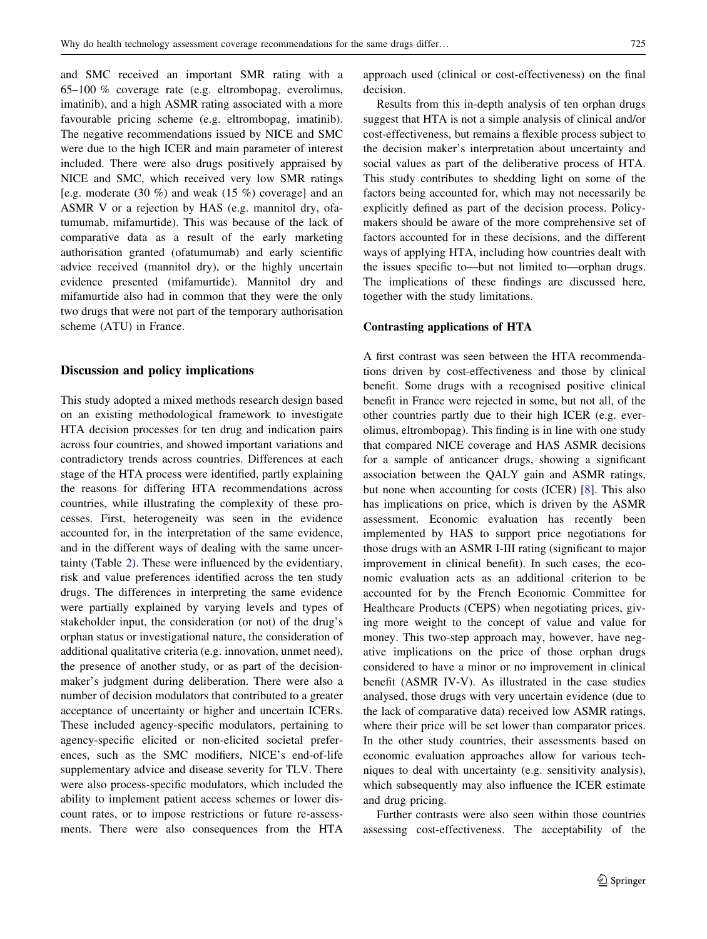and SMC received an important SMR rating with a 65–100 % coverage rate (e.g. eltrombopag, everolimus, imatinib), and a high ASMR rating associated with a more favourable pricing scheme (e.g. eltrombopag, imatinib). The negative recommendations issued by NICE and SMC were due to the high ICER and main parameter of interest included. There were also drugs positively appraised by NICE and SMC, which received very low SMR ratings [e.g. moderate  $(30 \%)$  and weak  $(15 \%)$  coverage] and an ASMR V or a rejection by HAS (e.g. mannitol dry, ofatumumab, mifamurtide). This was because of the lack of comparative data as a result of the early marketing authorisation granted (ofatumumab) and early scientific advice received (mannitol dry), or the highly uncertain evidence presented (mifamurtide). Mannitol dry and mifamurtide also had in common that they were the only two drugs that were not part of the temporary authorisation scheme (ATU) in France.

## Discussion and policy implications

This study adopted a mixed methods research design based on an existing methodological framework to investigate HTA decision processes for ten drug and indication pairs across four countries, and showed important variations and contradictory trends across countries. Differences at each stage of the HTA process were identified, partly explaining the reasons for differing HTA recommendations across countries, while illustrating the complexity of these processes. First, heterogeneity was seen in the evidence accounted for, in the interpretation of the same evidence, and in the different ways of dealing with the same uncertainty (Table [2](#page-5-0)). These were influenced by the evidentiary, risk and value preferences identified across the ten study drugs. The differences in interpreting the same evidence were partially explained by varying levels and types of stakeholder input, the consideration (or not) of the drug's orphan status or investigational nature, the consideration of additional qualitative criteria (e.g. innovation, unmet need), the presence of another study, or as part of the decisionmaker's judgment during deliberation. There were also a number of decision modulators that contributed to a greater acceptance of uncertainty or higher and uncertain ICERs. These included agency-specific modulators, pertaining to agency-specific elicited or non-elicited societal preferences, such as the SMC modifiers, NICE's end-of-life supplementary advice and disease severity for TLV. There were also process-specific modulators, which included the ability to implement patient access schemes or lower discount rates, or to impose restrictions or future re-assessments. There were also consequences from the HTA approach used (clinical or cost-effectiveness) on the final decision.

Results from this in-depth analysis of ten orphan drugs suggest that HTA is not a simple analysis of clinical and/or cost-effectiveness, but remains a flexible process subject to the decision maker's interpretation about uncertainty and social values as part of the deliberative process of HTA. This study contributes to shedding light on some of the factors being accounted for, which may not necessarily be explicitly defined as part of the decision process. Policymakers should be aware of the more comprehensive set of factors accounted for in these decisions, and the different ways of applying HTA, including how countries dealt with the issues specific to—but not limited to—orphan drugs. The implications of these findings are discussed here, together with the study limitations.

#### Contrasting applications of HTA

A first contrast was seen between the HTA recommendations driven by cost-effectiveness and those by clinical benefit. Some drugs with a recognised positive clinical benefit in France were rejected in some, but not all, of the other countries partly due to their high ICER (e.g. everolimus, eltrombopag). This finding is in line with one study that compared NICE coverage and HAS ASMR decisions for a sample of anticancer drugs, showing a significant association between the QALY gain and ASMR ratings, but none when accounting for costs (ICER) [[8\]](#page-14-0). This also has implications on price, which is driven by the ASMR assessment. Economic evaluation has recently been implemented by HAS to support price negotiations for those drugs with an ASMR I-III rating (significant to major improvement in clinical benefit). In such cases, the economic evaluation acts as an additional criterion to be accounted for by the French Economic Committee for Healthcare Products (CEPS) when negotiating prices, giving more weight to the concept of value and value for money. This two-step approach may, however, have negative implications on the price of those orphan drugs considered to have a minor or no improvement in clinical benefit (ASMR IV-V). As illustrated in the case studies analysed, those drugs with very uncertain evidence (due to the lack of comparative data) received low ASMR ratings, where their price will be set lower than comparator prices. In the other study countries, their assessments based on economic evaluation approaches allow for various techniques to deal with uncertainty (e.g. sensitivity analysis), which subsequently may also influence the ICER estimate and drug pricing.

Further contrasts were also seen within those countries assessing cost-effectiveness. The acceptability of the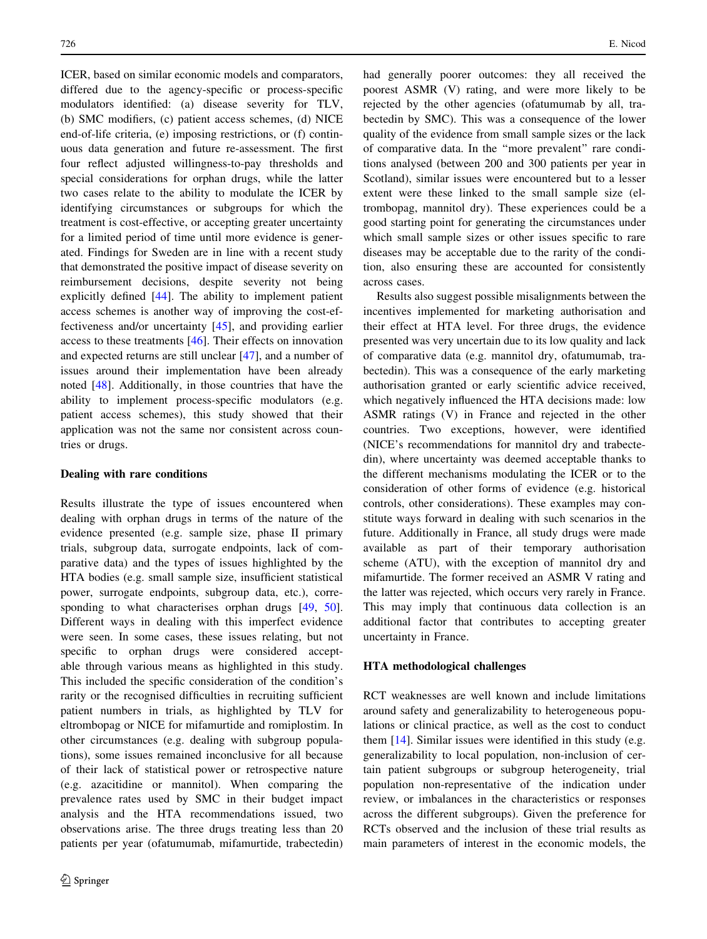ICER, based on similar economic models and comparators, differed due to the agency-specific or process-specific modulators identified: (a) disease severity for TLV, (b) SMC modifiers, (c) patient access schemes, (d) NICE end-of-life criteria, (e) imposing restrictions, or (f) continuous data generation and future re-assessment. The first four reflect adjusted willingness-to-pay thresholds and special considerations for orphan drugs, while the latter two cases relate to the ability to modulate the ICER by identifying circumstances or subgroups for which the treatment is cost-effective, or accepting greater uncertainty for a limited period of time until more evidence is generated. Findings for Sweden are in line with a recent study that demonstrated the positive impact of disease severity on reimbursement decisions, despite severity not being explicitly defined [[44\]](#page-14-0). The ability to implement patient access schemes is another way of improving the cost-effectiveness and/or uncertainty [[45\]](#page-14-0), and providing earlier access to these treatments [\[46](#page-15-0)]. Their effects on innovation and expected returns are still unclear [[47\]](#page-15-0), and a number of issues around their implementation have been already noted [[48\]](#page-15-0). Additionally, in those countries that have the ability to implement process-specific modulators (e.g. patient access schemes), this study showed that their application was not the same nor consistent across countries or drugs.

# Dealing with rare conditions

Results illustrate the type of issues encountered when dealing with orphan drugs in terms of the nature of the evidence presented (e.g. sample size, phase II primary trials, subgroup data, surrogate endpoints, lack of comparative data) and the types of issues highlighted by the HTA bodies (e.g. small sample size, insufficient statistical power, surrogate endpoints, subgroup data, etc.), corre-sponding to what characterises orphan drugs [[49,](#page-15-0) [50](#page-15-0)]. Different ways in dealing with this imperfect evidence were seen. In some cases, these issues relating, but not specific to orphan drugs were considered acceptable through various means as highlighted in this study. This included the specific consideration of the condition's rarity or the recognised difficulties in recruiting sufficient patient numbers in trials, as highlighted by TLV for eltrombopag or NICE for mifamurtide and romiplostim. In other circumstances (e.g. dealing with subgroup populations), some issues remained inconclusive for all because of their lack of statistical power or retrospective nature (e.g. azacitidine or mannitol). When comparing the prevalence rates used by SMC in their budget impact analysis and the HTA recommendations issued, two observations arise. The three drugs treating less than 20 patients per year (ofatumumab, mifamurtide, trabectedin) had generally poorer outcomes: they all received the poorest ASMR (V) rating, and were more likely to be rejected by the other agencies (ofatumumab by all, trabectedin by SMC). This was a consequence of the lower quality of the evidence from small sample sizes or the lack of comparative data. In the ''more prevalent'' rare conditions analysed (between 200 and 300 patients per year in Scotland), similar issues were encountered but to a lesser extent were these linked to the small sample size (eltrombopag, mannitol dry). These experiences could be a good starting point for generating the circumstances under which small sample sizes or other issues specific to rare diseases may be acceptable due to the rarity of the condition, also ensuring these are accounted for consistently across cases.

Results also suggest possible misalignments between the incentives implemented for marketing authorisation and their effect at HTA level. For three drugs, the evidence presented was very uncertain due to its low quality and lack of comparative data (e.g. mannitol dry, ofatumumab, trabectedin). This was a consequence of the early marketing authorisation granted or early scientific advice received, which negatively influenced the HTA decisions made: low ASMR ratings (V) in France and rejected in the other countries. Two exceptions, however, were identified (NICE's recommendations for mannitol dry and trabectedin), where uncertainty was deemed acceptable thanks to the different mechanisms modulating the ICER or to the consideration of other forms of evidence (e.g. historical controls, other considerations). These examples may constitute ways forward in dealing with such scenarios in the future. Additionally in France, all study drugs were made available as part of their temporary authorisation scheme (ATU), with the exception of mannitol dry and mifamurtide. The former received an ASMR V rating and the latter was rejected, which occurs very rarely in France. This may imply that continuous data collection is an additional factor that contributes to accepting greater uncertainty in France.

## HTA methodological challenges

RCT weaknesses are well known and include limitations around safety and generalizability to heterogeneous populations or clinical practice, as well as the cost to conduct them [[14](#page-14-0)]. Similar issues were identified in this study (e.g. generalizability to local population, non-inclusion of certain patient subgroups or subgroup heterogeneity, trial population non-representative of the indication under review, or imbalances in the characteristics or responses across the different subgroups). Given the preference for RCTs observed and the inclusion of these trial results as main parameters of interest in the economic models, the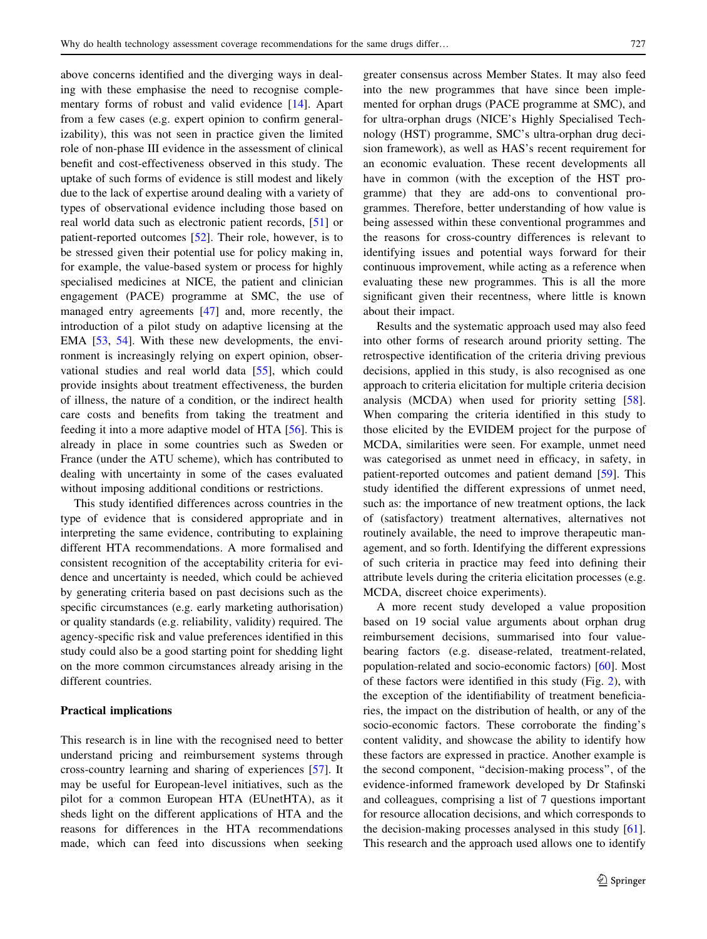above concerns identified and the diverging ways in dealing with these emphasise the need to recognise complementary forms of robust and valid evidence [[14\]](#page-14-0). Apart from a few cases (e.g. expert opinion to confirm generalizability), this was not seen in practice given the limited role of non-phase III evidence in the assessment of clinical benefit and cost-effectiveness observed in this study. The uptake of such forms of evidence is still modest and likely due to the lack of expertise around dealing with a variety of types of observational evidence including those based on real world data such as electronic patient records, [[51\]](#page-15-0) or patient-reported outcomes [[52\]](#page-15-0). Their role, however, is to be stressed given their potential use for policy making in, for example, the value-based system or process for highly specialised medicines at NICE, the patient and clinician engagement (PACE) programme at SMC, the use of managed entry agreements [\[47](#page-15-0)] and, more recently, the introduction of a pilot study on adaptive licensing at the EMA [[53,](#page-15-0) [54\]](#page-15-0). With these new developments, the environment is increasingly relying on expert opinion, observational studies and real world data [[55\]](#page-15-0), which could provide insights about treatment effectiveness, the burden of illness, the nature of a condition, or the indirect health care costs and benefits from taking the treatment and feeding it into a more adaptive model of HTA [\[56](#page-15-0)]. This is already in place in some countries such as Sweden or France (under the ATU scheme), which has contributed to dealing with uncertainty in some of the cases evaluated without imposing additional conditions or restrictions.

This study identified differences across countries in the type of evidence that is considered appropriate and in interpreting the same evidence, contributing to explaining different HTA recommendations. A more formalised and consistent recognition of the acceptability criteria for evidence and uncertainty is needed, which could be achieved by generating criteria based on past decisions such as the specific circumstances (e.g. early marketing authorisation) or quality standards (e.g. reliability, validity) required. The agency-specific risk and value preferences identified in this study could also be a good starting point for shedding light on the more common circumstances already arising in the different countries.

## Practical implications

This research is in line with the recognised need to better understand pricing and reimbursement systems through cross-country learning and sharing of experiences [\[57](#page-15-0)]. It may be useful for European-level initiatives, such as the pilot for a common European HTA (EUnetHTA), as it sheds light on the different applications of HTA and the reasons for differences in the HTA recommendations made, which can feed into discussions when seeking greater consensus across Member States. It may also feed into the new programmes that have since been implemented for orphan drugs (PACE programme at SMC), and for ultra-orphan drugs (NICE's Highly Specialised Technology (HST) programme, SMC's ultra-orphan drug decision framework), as well as HAS's recent requirement for an economic evaluation. These recent developments all have in common (with the exception of the HST programme) that they are add-ons to conventional programmes. Therefore, better understanding of how value is being assessed within these conventional programmes and the reasons for cross-country differences is relevant to identifying issues and potential ways forward for their continuous improvement, while acting as a reference when evaluating these new programmes. This is all the more significant given their recentness, where little is known about their impact.

Results and the systematic approach used may also feed into other forms of research around priority setting. The retrospective identification of the criteria driving previous decisions, applied in this study, is also recognised as one approach to criteria elicitation for multiple criteria decision analysis (MCDA) when used for priority setting [\[58](#page-15-0)]. When comparing the criteria identified in this study to those elicited by the EVIDEM project for the purpose of MCDA, similarities were seen. For example, unmet need was categorised as unmet need in efficacy, in safety, in patient-reported outcomes and patient demand [\[59](#page-15-0)]. This study identified the different expressions of unmet need, such as: the importance of new treatment options, the lack of (satisfactory) treatment alternatives, alternatives not routinely available, the need to improve therapeutic management, and so forth. Identifying the different expressions of such criteria in practice may feed into defining their attribute levels during the criteria elicitation processes (e.g. MCDA, discreet choice experiments).

A more recent study developed a value proposition based on 19 social value arguments about orphan drug reimbursement decisions, summarised into four valuebearing factors (e.g. disease-related, treatment-related, population-related and socio-economic factors) [[60\]](#page-15-0). Most of these factors were identified in this study (Fig. [2](#page-6-0)), with the exception of the identifiability of treatment beneficiaries, the impact on the distribution of health, or any of the socio-economic factors. These corroborate the finding's content validity, and showcase the ability to identify how these factors are expressed in practice. Another example is the second component, ''decision-making process'', of the evidence-informed framework developed by Dr Stafinski and colleagues, comprising a list of 7 questions important for resource allocation decisions, and which corresponds to the decision-making processes analysed in this study [\[61](#page-15-0)]. This research and the approach used allows one to identify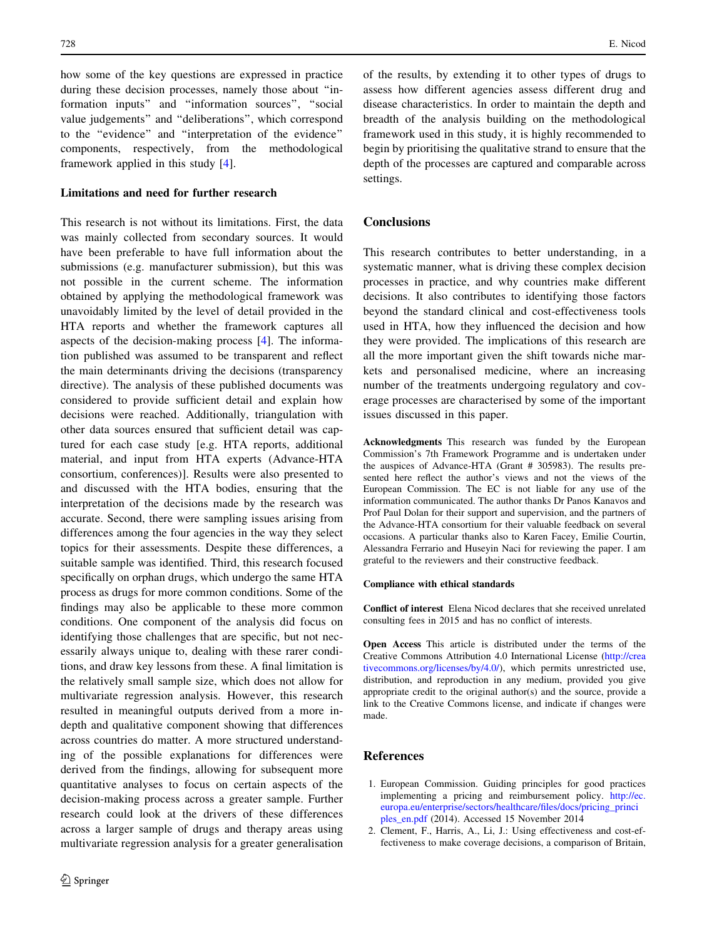<span id="page-13-0"></span>how some of the key questions are expressed in practice during these decision processes, namely those about ''information inputs'' and ''information sources'', ''social value judgements'' and ''deliberations'', which correspond to the ''evidence'' and ''interpretation of the evidence'' components, respectively, from the methodological framework applied in this study [\[4](#page-14-0)].

## Limitations and need for further research

This research is not without its limitations. First, the data was mainly collected from secondary sources. It would have been preferable to have full information about the submissions (e.g. manufacturer submission), but this was not possible in the current scheme. The information obtained by applying the methodological framework was unavoidably limited by the level of detail provided in the HTA reports and whether the framework captures all aspects of the decision-making process [[4\]](#page-14-0). The information published was assumed to be transparent and reflect the main determinants driving the decisions (transparency directive). The analysis of these published documents was considered to provide sufficient detail and explain how decisions were reached. Additionally, triangulation with other data sources ensured that sufficient detail was captured for each case study [e.g. HTA reports, additional material, and input from HTA experts (Advance-HTA consortium, conferences)]. Results were also presented to and discussed with the HTA bodies, ensuring that the interpretation of the decisions made by the research was accurate. Second, there were sampling issues arising from differences among the four agencies in the way they select topics for their assessments. Despite these differences, a suitable sample was identified. Third, this research focused specifically on orphan drugs, which undergo the same HTA process as drugs for more common conditions. Some of the findings may also be applicable to these more common conditions. One component of the analysis did focus on identifying those challenges that are specific, but not necessarily always unique to, dealing with these rarer conditions, and draw key lessons from these. A final limitation is the relatively small sample size, which does not allow for multivariate regression analysis. However, this research resulted in meaningful outputs derived from a more indepth and qualitative component showing that differences across countries do matter. A more structured understanding of the possible explanations for differences were derived from the findings, allowing for subsequent more quantitative analyses to focus on certain aspects of the decision-making process across a greater sample. Further research could look at the drivers of these differences across a larger sample of drugs and therapy areas using multivariate regression analysis for a greater generalisation

of the results, by extending it to other types of drugs to assess how different agencies assess different drug and disease characteristics. In order to maintain the depth and breadth of the analysis building on the methodological framework used in this study, it is highly recommended to begin by prioritising the qualitative strand to ensure that the depth of the processes are captured and comparable across settings.

# **Conclusions**

This research contributes to better understanding, in a systematic manner, what is driving these complex decision processes in practice, and why countries make different decisions. It also contributes to identifying those factors beyond the standard clinical and cost-effectiveness tools used in HTA, how they influenced the decision and how they were provided. The implications of this research are all the more important given the shift towards niche markets and personalised medicine, where an increasing number of the treatments undergoing regulatory and coverage processes are characterised by some of the important issues discussed in this paper.

Acknowledgments This research was funded by the European Commission's 7th Framework Programme and is undertaken under the auspices of Advance-HTA (Grant # 305983). The results presented here reflect the author's views and not the views of the European Commission. The EC is not liable for any use of the information communicated. The author thanks Dr Panos Kanavos and Prof Paul Dolan for their support and supervision, and the partners of the Advance-HTA consortium for their valuable feedback on several occasions. A particular thanks also to Karen Facey, Emilie Courtin, Alessandra Ferrario and Huseyin Naci for reviewing the paper. I am grateful to the reviewers and their constructive feedback.

#### Compliance with ethical standards

Conflict of interest Elena Nicod declares that she received unrelated consulting fees in 2015 and has no conflict of interests.

Open Access This article is distributed under the terms of the Creative Commons Attribution 4.0 International License ([http://crea](http://creativecommons.org/licenses/by/4.0/) [tivecommons.org/licenses/by/4.0/\)](http://creativecommons.org/licenses/by/4.0/), which permits unrestricted use, distribution, and reproduction in any medium, provided you give appropriate credit to the original author(s) and the source, provide a link to the Creative Commons license, and indicate if changes were made.

## References

- 1. European Commission. Guiding principles for good practices implementing a pricing and reimbursement policy. [http://ec.](http://ec.europa.eu/enterprise/sectors/healthcare/files/docs/pricing_principles_en.pdf) [europa.eu/enterprise/sectors/healthcare/files/docs/pricing\\_princi](http://ec.europa.eu/enterprise/sectors/healthcare/files/docs/pricing_principles_en.pdf) [ples\\_en.pdf](http://ec.europa.eu/enterprise/sectors/healthcare/files/docs/pricing_principles_en.pdf) (2014). Accessed 15 November 2014
- 2. Clement, F., Harris, A., Li, J.: Using effectiveness and cost-effectiveness to make coverage decisions, a comparison of Britain,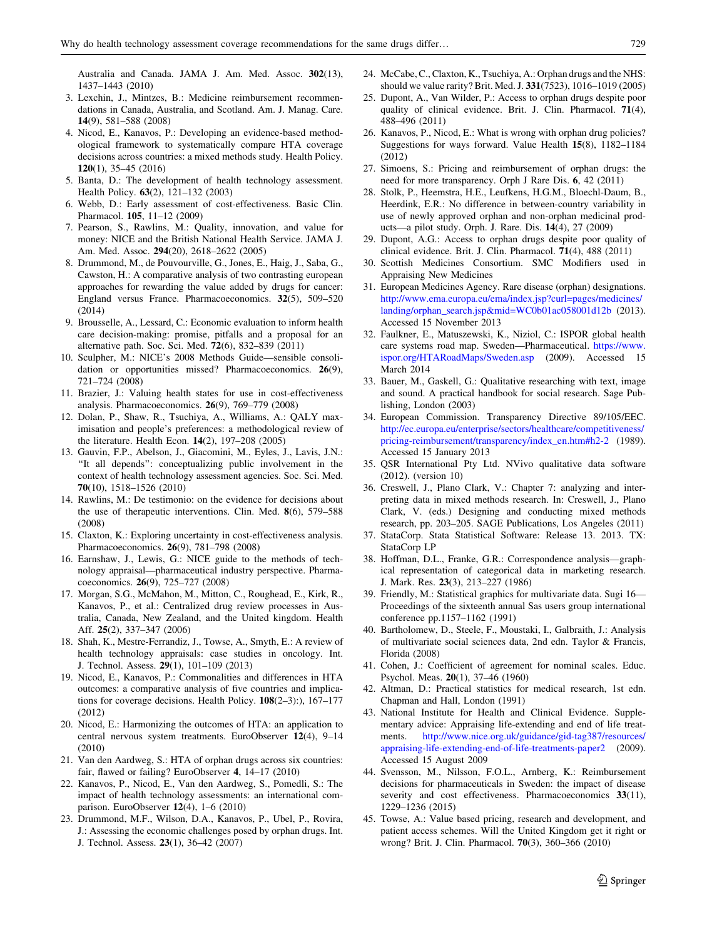<span id="page-14-0"></span>Australia and Canada. JAMA J. Am. Med. Assoc. 302(13), 1437–1443 (2010)

- 3. Lexchin, J., Mintzes, B.: Medicine reimbursement recommendations in Canada, Australia, and Scotland. Am. J. Manag. Care. 14(9), 581–588 (2008)
- 4. Nicod, E., Kanavos, P.: Developing an evidence-based methodological framework to systematically compare HTA coverage decisions across countries: a mixed methods study. Health Policy. 120(1), 35–45 (2016)
- 5. Banta, D.: The development of health technology assessment. Health Policy. 63(2), 121–132 (2003)
- 6. Webb, D.: Early assessment of cost-effectiveness. Basic Clin. Pharmacol. 105, 11–12 (2009)
- 7. Pearson, S., Rawlins, M.: Quality, innovation, and value for money: NICE and the British National Health Service. JAMA J. Am. Med. Assoc. 294(20), 2618–2622 (2005)
- 8. Drummond, M., de Pouvourville, G., Jones, E., Haig, J., Saba, G., Cawston, H.: A comparative analysis of two contrasting european approaches for rewarding the value added by drugs for cancer: England versus France. Pharmacoeconomics. 32(5), 509–520 (2014)
- 9. Brousselle, A., Lessard, C.: Economic evaluation to inform health care decision-making: promise, pitfalls and a proposal for an alternative path. Soc. Sci. Med. 72(6), 832–839 (2011)
- 10. Sculpher, M.: NICE's 2008 Methods Guide—sensible consolidation or opportunities missed? Pharmacoeconomics. 26(9), 721–724 (2008)
- 11. Brazier, J.: Valuing health states for use in cost-effectiveness analysis. Pharmacoeconomics. 26(9), 769–779 (2008)
- 12. Dolan, P., Shaw, R., Tsuchiya, A., Williams, A.: QALY maximisation and people's preferences: a methodological review of the literature. Health Econ. 14(2), 197–208 (2005)
- 13. Gauvin, F.P., Abelson, J., Giacomini, M., Eyles, J., Lavis, J.N.: ''It all depends'': conceptualizing public involvement in the context of health technology assessment agencies. Soc. Sci. Med. 70(10), 1518–1526 (2010)
- 14. Rawlins, M.: De testimonio: on the evidence for decisions about the use of therapeutic interventions. Clin. Med. 8(6), 579–588 (2008)
- 15. Claxton, K.: Exploring uncertainty in cost-effectiveness analysis. Pharmacoeconomics. 26(9), 781–798 (2008)
- 16. Earnshaw, J., Lewis, G.: NICE guide to the methods of technology appraisal—pharmaceutical industry perspective. Pharmacoeconomics. 26(9), 725–727 (2008)
- 17. Morgan, S.G., McMahon, M., Mitton, C., Roughead, E., Kirk, R., Kanavos, P., et al.: Centralized drug review processes in Australia, Canada, New Zealand, and the United kingdom. Health Aff. 25(2), 337–347 (2006)
- 18. Shah, K., Mestre-Ferrandiz, J., Towse, A., Smyth, E.: A review of health technology appraisals: case studies in oncology. Int. J. Technol. Assess. 29(1), 101–109 (2013)
- 19. Nicod, E., Kanavos, P.: Commonalities and differences in HTA outcomes: a comparative analysis of five countries and implications for coverage decisions. Health Policy. 108(2–3):), 167–177 (2012)
- 20. Nicod, E.: Harmonizing the outcomes of HTA: an application to central nervous system treatments. EuroObserver 12(4), 9–14 (2010)
- 21. Van den Aardweg, S.: HTA of orphan drugs across six countries: fair, flawed or failing? EuroObserver 4, 14–17 (2010)
- 22. Kanavos, P., Nicod, E., Van den Aardweg, S., Pomedli, S.: The impact of health technology assessments: an international comparison. EuroObserver 12(4), 1–6 (2010)
- 23. Drummond, M.F., Wilson, D.A., Kanavos, P., Ubel, P., Rovira, J.: Assessing the economic challenges posed by orphan drugs. Int. J. Technol. Assess. 23(1), 36–42 (2007)
- 24. McCabe, C., Claxton, K., Tsuchiya, A.: Orphan drugs and the NHS: should we value rarity? Brit. Med. J. 331(7523), 1016–1019 (2005)
- 25. Dupont, A., Van Wilder, P.: Access to orphan drugs despite poor quality of clinical evidence. Brit. J. Clin. Pharmacol. 71(4), 488–496 (2011)
- 26. Kanavos, P., Nicod, E.: What is wrong with orphan drug policies? Suggestions for ways forward. Value Health 15(8), 1182–1184 (2012)
- 27. Simoens, S.: Pricing and reimbursement of orphan drugs: the need for more transparency. Orph J Rare Dis. 6, 42 (2011)
- 28. Stolk, P., Heemstra, H.E., Leufkens, H.G.M., Bloechl-Daum, B., Heerdink, E.R.: No difference in between-country variability in use of newly approved orphan and non-orphan medicinal products—a pilot study. Orph. J. Rare. Dis. 14(4), 27 (2009)
- 29. Dupont, A.G.: Access to orphan drugs despite poor quality of clinical evidence. Brit. J. Clin. Pharmacol. 71(4), 488 (2011)
- 30. Scottish Medicines Consortium. SMC Modifiers used in Appraising New Medicines
- 31. European Medicines Agency. Rare disease (orphan) designations. [http://www.ema.europa.eu/ema/index.jsp?curl=pages/medicines/](http://www.ema.europa.eu/ema/index.jsp%3fcurl%3dpages/medicines/landing/orphan_search.jsp%26mid%3dWC0b01ac058001d12b) [landing/orphan\\_search.jsp&mid=WC0b01ac058001d12b](http://www.ema.europa.eu/ema/index.jsp%3fcurl%3dpages/medicines/landing/orphan_search.jsp%26mid%3dWC0b01ac058001d12b) (2013). Accessed 15 November 2013
- 32. Faulkner, E., Matuszewski, K., Niziol, C.: ISPOR global health care systems road map. Sweden—Pharmaceutical. [https://www.](https://www.ispor.org/HTARoadMaps/Sweden.asp) [ispor.org/HTARoadMaps/Sweden.asp](https://www.ispor.org/HTARoadMaps/Sweden.asp) (2009). Accessed 15 March 2014
- 33. Bauer, M., Gaskell, G.: Qualitative researching with text, image and sound. A practical handbook for social research. Sage Publishing, London (2003)
- 34. European Commission. Transparency Directive 89/105/EEC. [http://ec.europa.eu/enterprise/sectors/healthcare/competitiveness/](http://ec.europa.eu/enterprise/sectors/healthcare/competitiveness/pricing-reimbursement/transparency/index_en.htm%23h2-2) [pricing-reimbursement/transparency/index\\_en.htm#h2-2](http://ec.europa.eu/enterprise/sectors/healthcare/competitiveness/pricing-reimbursement/transparency/index_en.htm%23h2-2) (1989). Accessed 15 January 2013
- 35. QSR International Pty Ltd. NVivo qualitative data software (2012). (version 10)
- 36. Creswell, J., Plano Clark, V.: Chapter 7: analyzing and interpreting data in mixed methods research. In: Creswell, J., Plano Clark, V. (eds.) Designing and conducting mixed methods research, pp. 203–205. SAGE Publications, Los Angeles (2011)
- 37. StataCorp. Stata Statistical Software: Release 13. 2013. TX: StataCorp LP
- 38. Hoffman, D.L., Franke, G.R.: Correspondence analysis—graphical representation of categorical data in marketing research. J. Mark. Res. 23(3), 213–227 (1986)
- 39. Friendly, M.: Statistical graphics for multivariate data. Sugi 16— Proceedings of the sixteenth annual Sas users group international conference pp.1157–1162 (1991)
- 40. Bartholomew, D., Steele, F., Moustaki, I., Galbraith, J.: Analysis of multivariate social sciences data, 2nd edn. Taylor & Francis, Florida (2008)
- 41. Cohen, J.: Coefficient of agreement for nominal scales. Educ. Psychol. Meas. 20(1), 37–46 (1960)
- 42. Altman, D.: Practical statistics for medical research, 1st edn. Chapman and Hall, London (1991)
- 43. National Institute for Health and Clinical Evidence. Supplementary advice: Appraising life-extending and end of life treatments. [http://www.nice.org.uk/guidance/gid-tag387/resources/](http://www.nice.org.uk/guidance/gid-tag387/resources/appraising-life-extending-end-of-life-treatments-paper2) [appraising-life-extending-end-of-life-treatments-paper2](http://www.nice.org.uk/guidance/gid-tag387/resources/appraising-life-extending-end-of-life-treatments-paper2) (2009). Accessed 15 August 2009
- 44. Svensson, M., Nilsson, F.O.L., Arnberg, K.: Reimbursement decisions for pharmaceuticals in Sweden: the impact of disease severity and cost effectiveness. Pharmacoeconomics 33(11), 1229–1236 (2015)
- 45. Towse, A.: Value based pricing, research and development, and patient access schemes. Will the United Kingdom get it right or wrong? Brit. J. Clin. Pharmacol. 70(3), 360–366 (2010)